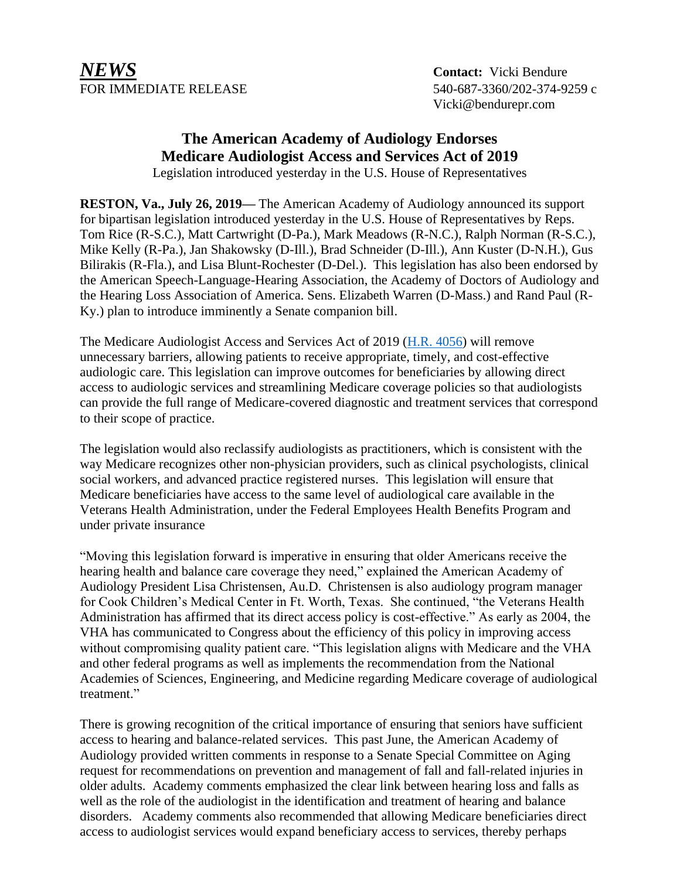*NEWS* **Contact:** Vicki Bendure FOR IMMEDIATE RELEASE 540-687-3360/202-374-9259 c

Vicki@bendurepr.com

## **The American Academy of Audiology Endorses Medicare Audiologist Access and Services Act of 2019**

Legislation introduced yesterday in the U.S. House of Representatives

**RESTON, Va., July 26, 2019—** The American Academy of Audiology announced its support for bipartisan legislation introduced yesterday in the U.S. House of Representatives by Reps. Tom Rice (R-S.C.), Matt Cartwright (D-Pa.), Mark Meadows (R-N.C.), Ralph Norman (R-S.C.), Mike Kelly (R-Pa.), Jan Shakowsky (D-Ill.), Brad Schneider (D-Ill.), Ann Kuster (D-N.H.), Gus Bilirakis (R-Fla.), and Lisa Blunt-Rochester (D-Del.). This legislation has also been endorsed by the American Speech-Language-Hearing Association, the Academy of Doctors of Audiology and the Hearing Loss Association of America. Sens. Elizabeth Warren (D-Mass.) and Rand Paul (R-Ky.) plan to introduce imminently a Senate companion bill.

The Medicare Audiologist Access and Services Act of 2019 [\(H.R. 4056\)](https://www.congress.gov/bill/116th-congress/house-bill/4056/text?q=%7B%22search%22%3A%5B%224056%22%5D%7D&r=1&s=10) will remove unnecessary barriers, allowing patients to receive appropriate, timely, and cost-effective audiologic care. This legislation can improve outcomes for beneficiaries by allowing direct access to audiologic services and streamlining Medicare coverage policies so that audiologists can provide the full range of Medicare-covered diagnostic and treatment services that correspond to their scope of practice.

The legislation would also reclassify audiologists as practitioners, which is consistent with the way Medicare recognizes other non-physician providers, such as clinical psychologists, clinical social workers, and advanced practice registered nurses. This legislation will ensure that Medicare beneficiaries have access to the same level of audiological care available in the Veterans Health Administration, under the Federal Employees Health Benefits Program and under private insurance

"Moving this legislation forward is imperative in ensuring that older Americans receive the hearing health and balance care coverage they need," explained the American Academy of Audiology President Lisa Christensen, Au.D. Christensen is also audiology program manager for Cook Children's Medical Center in Ft. Worth, Texas. She continued, "the Veterans Health Administration has affirmed that its direct access policy is cost-effective." As early as 2004, the VHA has communicated to Congress about the efficiency of this policy in improving access without compromising quality patient care. "This legislation aligns with Medicare and the VHA and other federal programs as well as implements the recommendation from the National Academies of Sciences, Engineering, and Medicine regarding Medicare coverage of audiological treatment."

There is growing recognition of the critical importance of ensuring that seniors have sufficient access to hearing and balance-related services. This past June, the American Academy of Audiology provided written comments in response to a Senate Special Committee on Aging request for recommendations on prevention and management of fall and fall-related injuries in older adults. Academy comments emphasized the clear link between hearing loss and falls as well as the role of the audiologist in the identification and treatment of hearing and balance disorders. Academy comments also recommended that allowing Medicare beneficiaries direct access to audiologist services would expand beneficiary access to services, thereby perhaps